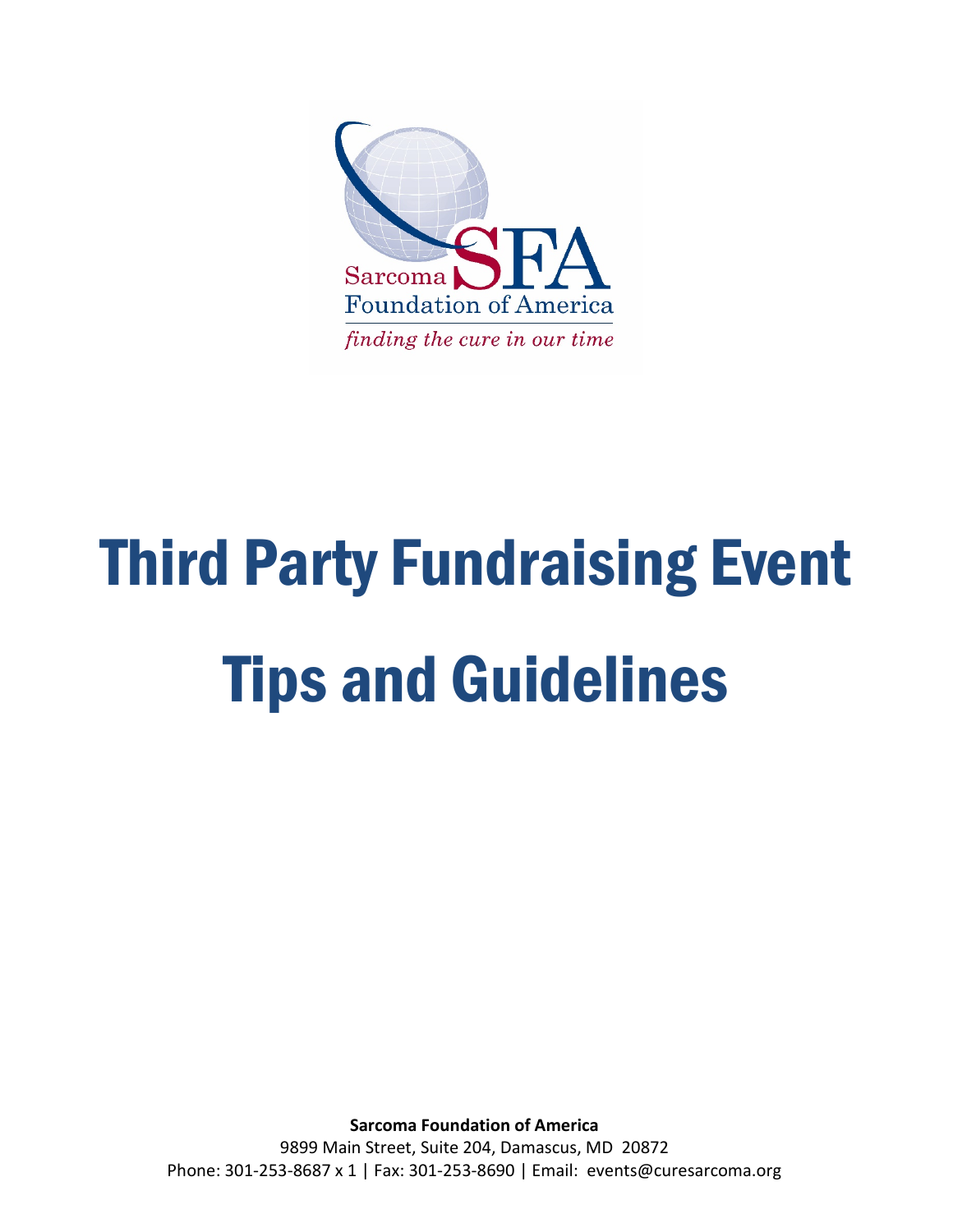

# Third Party Fundraising Event Tips and Guidelines

**Sarcoma Foundation of America** 9899 Main Street, Suite 204, Damascus, MD 20872 Phone: 301-253-8687 x 1 | Fax: 301-253-8690 | Email: events@curesarcoma.org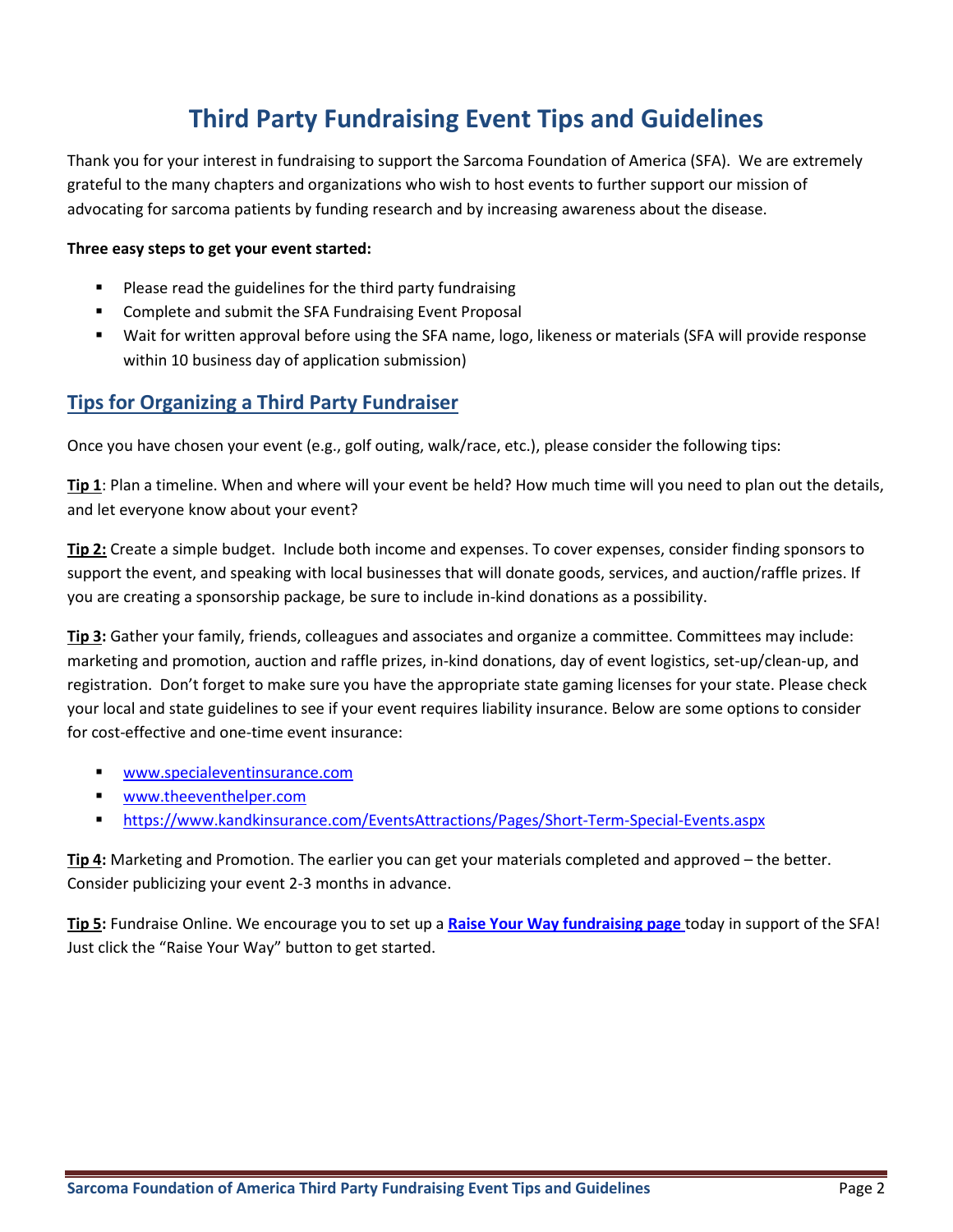# **Third Party Fundraising Event Tips and Guidelines**

Thank you for your interest in fundraising to support the Sarcoma Foundation of America (SFA). We are extremely grateful to the many chapters and organizations who wish to host events to further support our mission of advocating for sarcoma patients by funding research and by increasing awareness about the disease.

#### **Three easy steps to get your event started:**

- Please read the guidelines for the third party fundraising
- Complete and submit the SFA Fundraising Event Proposal
- Wait for written approval before using the SFA name, logo, likeness or materials (SFA will provide response within 10 business day of application submission)

### **Tips for Organizing a Third Party Fundraiser**

Once you have chosen your event (e.g., golf outing, walk/race, etc.), please consider the following tips:

**Tip 1**: Plan a timeline. When and where will your event be held? How much time will you need to plan out the details, and let everyone know about your event?

**Tip 2:** Create a simple budget. Include both income and expenses. To cover expenses, consider finding sponsors to support the event, and speaking with local businesses that will donate goods, services, and auction/raffle prizes. If you are creating a sponsorship package, be sure to include in-kind donations as a possibility.

**Tip 3:** Gather your family, friends, colleagues and associates and organize a committee. Committees may include: marketing and promotion, auction and raffle prizes, in-kind donations, day of event logistics, set-up/clean-up, and registration. Don't forget to make sure you have the appropriate state gaming licenses for your state. Please check your local and state guidelines to see if your event requires liability insurance. Below are some options to consider for cost-effective and one-time event insurance:

- [www.specialeventinsurance.com](http://www.specialeventinsurance.com/)
- [www.theeventhelper.com](http://www.theeventhelper.com/)
- <https://www.kandkinsurance.com/EventsAttractions/Pages/Short-Term-Special-Events.aspx>

**Tip 4:** Marketing and Promotion. The earlier you can get your materials completed and approved – the better. Consider publicizing your event 2-3 months in advance.

**Tip 5:** Fundraise Online. We encourage you to set up a **[Raise Your Way fundraising page](https://www.curesarcoma.org/raise-your-way)** today in support of the SFA! Just click the ["Raise Your Way"](https://donate.curesarcoma.org/fundraise/get-involved?cid=13671) button to get started.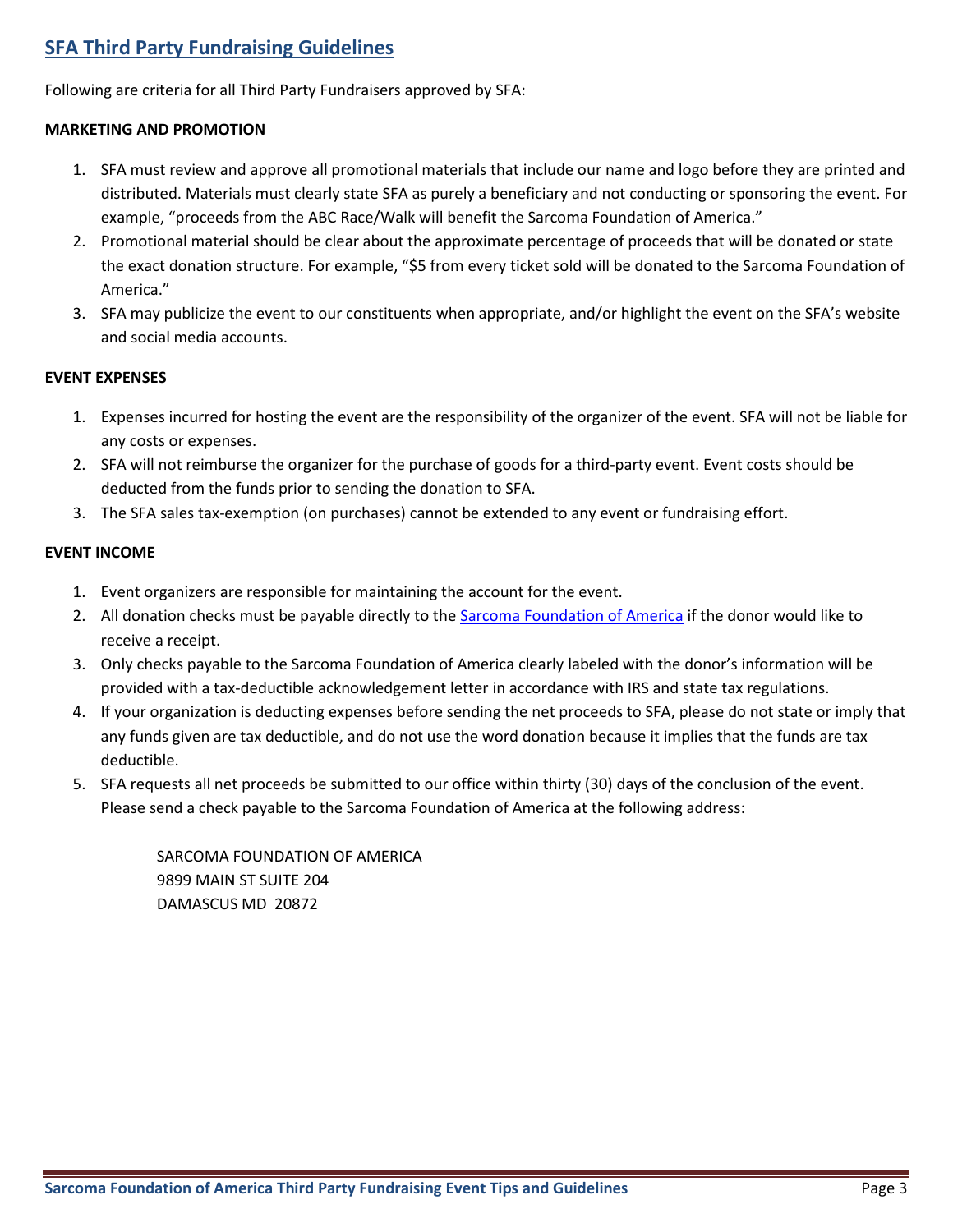## **SFA Third Party Fundraising Guidelines**

Following are criteria for all Third Party Fundraisers approved by SFA:

#### **MARKETING AND PROMOTION**

- 1. SFA must review and approve all promotional materials that include our name and logo before they are printed and distributed. Materials must clearly state SFA as purely a beneficiary and not conducting or sponsoring the event. For example, "proceeds from the ABC Race/Walk will benefit the Sarcoma Foundation of America."
- 2. Promotional material should be clear about the approximate percentage of proceeds that will be donated or state the exact donation structure. For example, "\$5 from every ticket sold will be donated to the Sarcoma Foundation of America."
- 3. SFA may publicize the event to our constituents when appropriate, and/or highlight the event on the SFA's website and social media accounts.

#### **EVENT EXPENSES**

- 1. Expenses incurred for hosting the event are the responsibility of the organizer of the event. SFA will not be liable for any costs or expenses.
- 2. SFA will not reimburse the organizer for the purchase of goods for a third-party event. Event costs should be deducted from the funds prior to sending the donation to SFA.
- 3. The SFA sales tax-exemption (on purchases) cannot be extended to any event or fundraising effort.

#### **EVENT INCOME**

- 1. Event organizers are responsible for maintaining the account for the event.
- 2. All donation checks must be payable directly to th[e Sarcoma Foundation of America](http://curesarcoma.org/) if the donor would like to receive a receipt.
- 3. Only checks payable to the Sarcoma Foundation of America clearly labeled with the donor's information will be provided with a tax-deductible acknowledgement letter in accordance with IRS and state tax regulations.
- 4. If your organization is deducting expenses before sending the net proceeds to SFA, please do not state or imply that any funds given are tax deductible, and do not use the word donation because it implies that the funds are tax deductible.
- 5. SFA requests all net proceeds be submitted to our office within thirty (30) days of the conclusion of the event. Please send a check payable to the Sarcoma Foundation of America at the following address:

SARCOMA FOUNDATION OF AMERICA 9899 MAIN ST SUITE 204 DAMASCUS MD 20872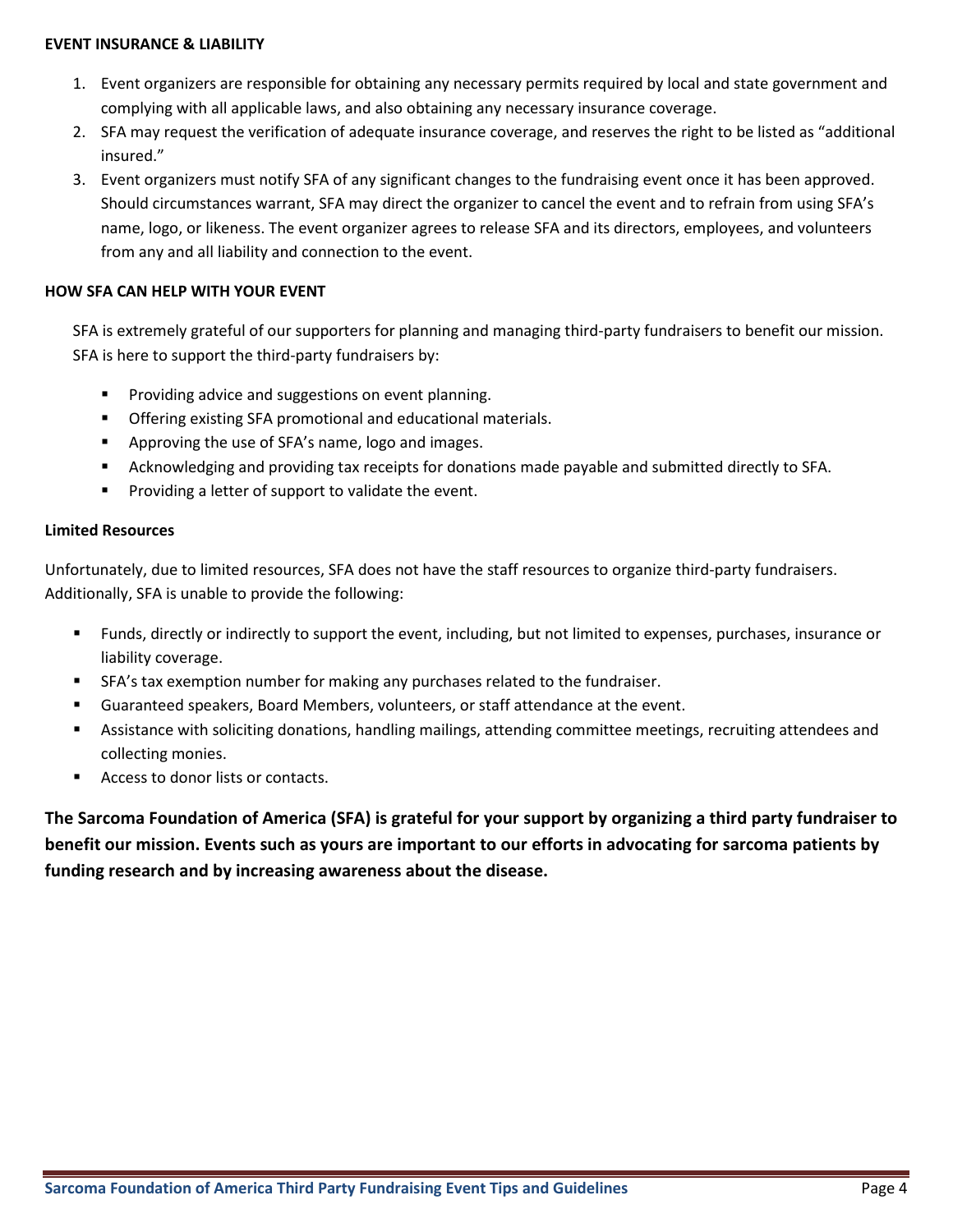#### **EVENT INSURANCE & LIABILITY**

- 1. Event organizers are responsible for obtaining any necessary permits required by local and state government and complying with all applicable laws, and also obtaining any necessary insurance coverage.
- 2. SFA may request the verification of adequate insurance coverage, and reserves the right to be listed as "additional insured."
- 3. Event organizers must notify SFA of any significant changes to the fundraising event once it has been approved. Should circumstances warrant, SFA may direct the organizer to cancel the event and to refrain from using SFA's name, logo, or likeness. The event organizer agrees to release SFA and its directors, employees, and volunteers from any and all liability and connection to the event.

#### **HOW SFA CAN HELP WITH YOUR EVENT**

SFA is extremely grateful of our supporters for planning and managing third-party fundraisers to benefit our mission. SFA is here to support the third-party fundraisers by:

- **Providing advice and suggestions on event planning.**
- Offering existing SFA promotional and educational materials.
- **EXE** Approving the use of SFA's name, logo and images.
- Acknowledging and providing tax receipts for donations made payable and submitted directly to SFA.
- **Providing a letter of support to validate the event.**

#### **Limited Resources**

Unfortunately, due to limited resources, SFA does not have the staff resources to organize third-party fundraisers. Additionally, SFA is unable to provide the following:

- Funds, directly or indirectly to support the event, including, but not limited to expenses, purchases, insurance or liability coverage.
- SFA's tax exemption number for making any purchases related to the fundraiser.
- Guaranteed speakers, Board Members, volunteers, or staff attendance at the event.
- Assistance with soliciting donations, handling mailings, attending committee meetings, recruiting attendees and collecting monies.
- Access to donor lists or contacts.

**The Sarcoma Foundation of America (SFA) is grateful for your support by organizing a third party fundraiser to benefit our mission. Events such as yours are important to our efforts in advocating for sarcoma patients by funding research and by increasing awareness about the disease.**